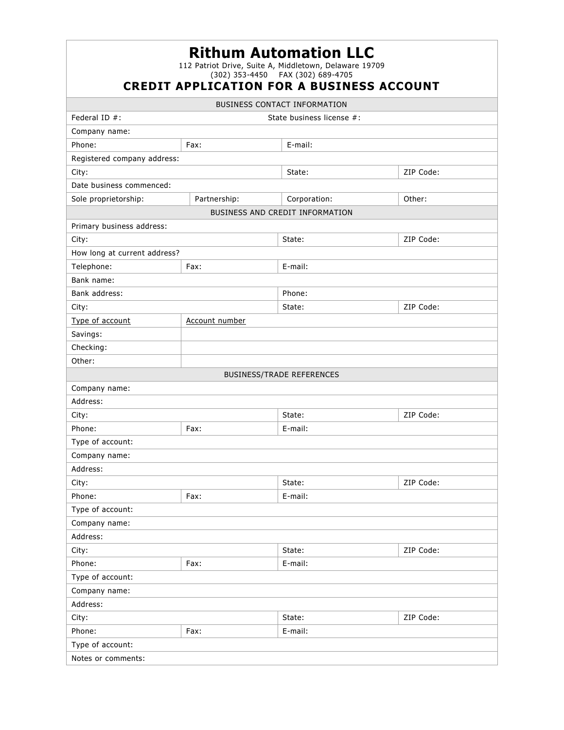|                                                                                                                                                  |                | <b>Rithum Automation LLC</b>        |           |  |
|--------------------------------------------------------------------------------------------------------------------------------------------------|----------------|-------------------------------------|-----------|--|
| 112 Patriot Drive, Suite A, Middletown, Delaware 19709<br>(302) 353-4450  FAX (302) 689-4705<br><b>CREDIT APPLICATION FOR A BUSINESS ACCOUNT</b> |                |                                     |           |  |
|                                                                                                                                                  |                | <b>BUSINESS CONTACT INFORMATION</b> |           |  |
| Federal ID $#$ :                                                                                                                                 |                | State business license #:           |           |  |
| Company name:                                                                                                                                    |                |                                     |           |  |
| Phone:                                                                                                                                           | Fax:           | E-mail:                             |           |  |
| Registered company address:                                                                                                                      |                |                                     |           |  |
| City:                                                                                                                                            |                | State:                              | ZIP Code: |  |
| Date business commenced:                                                                                                                         |                |                                     |           |  |
| Sole proprietorship:                                                                                                                             | Partnership:   | Corporation:                        | Other:    |  |
|                                                                                                                                                  |                | BUSINESS AND CREDIT INFORMATION     |           |  |
| Primary business address:                                                                                                                        |                |                                     |           |  |
| City:                                                                                                                                            |                | State:                              | ZIP Code: |  |
| How long at current address?                                                                                                                     |                |                                     |           |  |
| Telephone:                                                                                                                                       | Fax:           | E-mail:                             |           |  |
| Bank name:                                                                                                                                       |                |                                     |           |  |
| Bank address:                                                                                                                                    |                | Phone:                              |           |  |
| City:                                                                                                                                            |                | State:                              | ZIP Code: |  |
| Type of account                                                                                                                                  | Account number |                                     |           |  |
| Savings:                                                                                                                                         |                |                                     |           |  |
| Checking:                                                                                                                                        |                |                                     |           |  |
| Other:                                                                                                                                           |                |                                     |           |  |
|                                                                                                                                                  |                | <b>BUSINESS/TRADE REFERENCES</b>    |           |  |
| Company name:                                                                                                                                    |                |                                     |           |  |
| Address:                                                                                                                                         |                |                                     |           |  |
| City:                                                                                                                                            |                | State:                              | ZIP Code: |  |
| Phone:                                                                                                                                           | Fax:           | E-mail:                             |           |  |
| Type of account:                                                                                                                                 |                |                                     |           |  |
| Company name:                                                                                                                                    |                |                                     |           |  |
| Address:                                                                                                                                         |                |                                     |           |  |
| City:                                                                                                                                            |                | State:                              | ZIP Code: |  |
| Phone:                                                                                                                                           | Fax:           | E-mail:                             |           |  |
| Type of account:                                                                                                                                 |                |                                     |           |  |
| Company name:                                                                                                                                    |                |                                     |           |  |
| Address:                                                                                                                                         |                |                                     |           |  |
| City:                                                                                                                                            |                | State:                              | ZIP Code: |  |
| Phone:                                                                                                                                           | Fax:           | E-mail:                             |           |  |
| Type of account:                                                                                                                                 |                |                                     |           |  |
| Company name:                                                                                                                                    |                |                                     |           |  |
| Address:                                                                                                                                         |                |                                     |           |  |
| City:                                                                                                                                            |                | State:                              | ZIP Code: |  |
| Phone:                                                                                                                                           | Fax:           | E-mail:                             |           |  |
| Type of account:                                                                                                                                 |                |                                     |           |  |
| Notes or comments:                                                                                                                               |                |                                     |           |  |